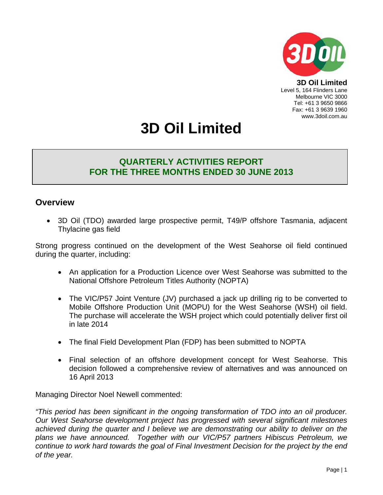

**3D Oil Limited**  Level 5, 164 Flinders Lane Melbourne VIC 3000 Tel: +61 3 9650 9866 Fax: +61 3 9639 1960 www.3doil.com.au

# **3D Oil Limited**

# **QUARTERLY ACTIVITIES REPORT FOR THE THREE MONTHS ENDED 30 JUNE 2013**

# **Overview**

• 3D Oil (TDO) awarded large prospective permit, T49/P offshore Tasmania, adjacent Thylacine gas field

Strong progress continued on the development of the West Seahorse oil field continued during the quarter, including:

- An application for a Production Licence over West Seahorse was submitted to the National Offshore Petroleum Titles Authority (NOPTA)
- The VIC/P57 Joint Venture (JV) purchased a jack up drilling rig to be converted to Mobile Offshore Production Unit (MOPU) for the West Seahorse (WSH) oil field. The purchase will accelerate the WSH project which could potentially deliver first oil in late 2014
- The final Field Development Plan (FDP) has been submitted to NOPTA
- Final selection of an offshore development concept for West Seahorse. This decision followed a comprehensive review of alternatives and was announced on 16 April 2013

Managing Director Noel Newell commented:

*"This period has been significant in the ongoing transformation of TDO into an oil producer. Our West Seahorse development project has progressed with several significant milestones achieved during the quarter and I believe we are demonstrating our ability to deliver on the plans we have announced. Together with our VIC/P57 partners Hibiscus Petroleum, we continue to work hard towards the goal of Final Investment Decision for the project by the end of the year.*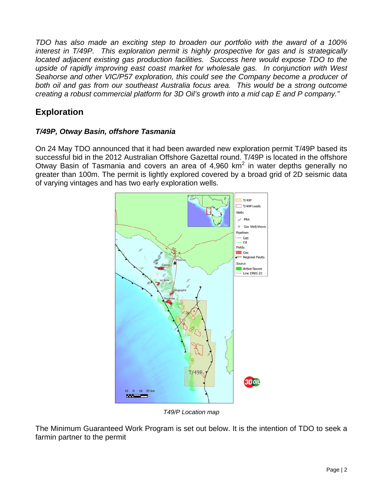*TDO has also made an exciting step to broaden our portfolio with the award of a 100% interest in T/49P. This exploration permit is highly prospective for gas and is strategically located adjacent existing gas production facilities. Success here would expose TDO to the upside of rapidly improving east coast market for wholesale gas. In conjunction with West Seahorse and other VIC/P57 exploration, this could see the Company become a producer of*  both oil and gas from our southeast Australia focus area. This would be a strong outcome *creating a robust commercial platform for 3D Oil's growth into a mid cap E and P company."* 

# **Exploration**

## *T/49P, Otway Basin, offshore Tasmania*

On 24 May TDO announced that it had been awarded new exploration permit T/49P based its successful bid in the 2012 Australian Offshore Gazettal round. T/49P is located in the offshore Otway Basin of Tasmania and covers an area of 4,960 km<sup>2</sup> in water depths generally no greater than 100m. The permit is lightly explored covered by a broad grid of 2D seismic data of varying vintages and has two early exploration wells.



*T49/P Location map* 

The Minimum Guaranteed Work Program is set out below. It is the intention of TDO to seek a farmin partner to the permit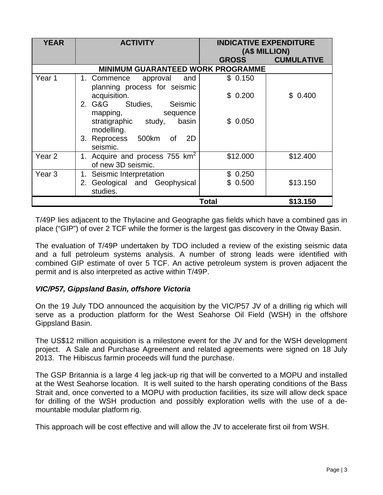| <b>YEAR</b>       | <b>ACTIVITY</b>                                                  |              | <b>INDICATIVE EXPENDITURE</b><br>(A\$ MILLION) |  |
|-------------------|------------------------------------------------------------------|--------------|------------------------------------------------|--|
|                   |                                                                  | <b>GROSS</b> | <b>CUMULATIVE</b>                              |  |
|                   | <b>MINIMUM GUARANTEED WORK PROGRAMME</b>                         |              |                                                |  |
| Year 1            | 1. Commence approval and<br>planning process for seismic         | \$0.150      |                                                |  |
|                   | acquisition.                                                     | \$0.200      | \$0.400                                        |  |
|                   | 2. G&G Studies,<br>Seismic<br>mapping,<br>sequence               |              |                                                |  |
|                   | stratigraphic study,<br>basin<br>modelling.                      | \$0.050      |                                                |  |
|                   | 3. Reprocess 500km of<br>2D<br>seismic.                          |              |                                                |  |
| Year <sub>2</sub> | 1. Acquire and process 755 km <sup>2</sup><br>of new 3D seismic. | \$12.000     | \$12.400                                       |  |
| Year <sub>3</sub> | Seismic Interpretation<br>1.                                     | \$0.250      |                                                |  |
|                   | 2. Geological and Geophysical<br>studies.                        | \$0.500      | \$13.150                                       |  |
|                   |                                                                  | Total        | \$13.150                                       |  |

T/49P lies adjacent to the Thylacine and Geographe gas fields which have a combined gas in place ("GIP") of over 2 TCF while the former is the largest gas discovery in the Otway Basin.

The evaluation of T/49P undertaken by TDO included a review of the existing seismic data and a full petroleum systems analysis. A number of strong leads were identified with combined GIP estimate of over 5 TCF. An active petroleum system is proven adjacent the permit and is also interpreted as active within T/49P.

#### *VIC/P57, Gippsland Basin, offshore Victoria*

On the 19 July TDO announced the acquisition by the VIC/P57 JV of a drilling rig which will serve as a production platform for the West Seahorse Oil Field (WSH) in the offshore Gippsland Basin.

The US\$12 million acquisition is a milestone event for the JV and for the WSH development project. A Sale and Purchase Agreement and related agreements were signed on 18 July 2013. The Hibiscus farmin proceeds will fund the purchase.

The GSP Britannia is a large 4 leg jack-up rig that will be converted to a MOPU and installed at the West Seahorse location. It is well suited to the harsh operating conditions of the Bass Strait and, once converted to a MOPU with production facilities, its size will allow deck space for drilling of the WSH production and possibly exploration wells with the use of a demountable modular platform rig.

This approach will be cost effective and will allow the JV to accelerate first oil from WSH.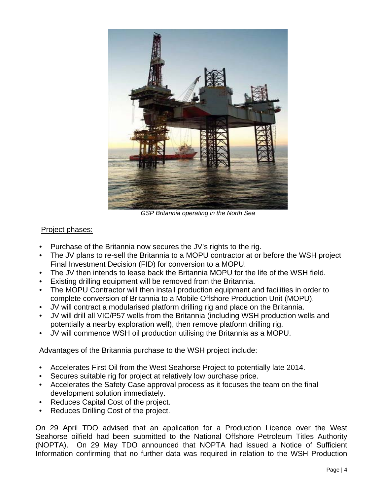

*GSP Britannia operating in the North Sea* 

## Project phases:

- Purchase of the Britannia now secures the JV's rights to the rig.
- The JV plans to re-sell the Britannia to a MOPU contractor at or before the WSH project Final Investment Decision (FID) for conversion to a MOPU.
- The JV then intends to lease back the Britannia MOPU for the life of the WSH field.
- Existing drilling equipment will be removed from the Britannia.
- The MOPU Contractor will then install production equipment and facilities in order to complete conversion of Britannia to a Mobile Offshore Production Unit (MOPU).
- JV will contract a modularised platform drilling rig and place on the Britannia.
- JV will drill all VIC/P57 wells from the Britannia (including WSH production wells and potentially a nearby exploration well), then remove platform drilling rig.
- JV will commence WSH oil production utilising the Britannia as a MOPU.

## Advantages of the Britannia purchase to the WSH project include:

- Accelerates First Oil from the West Seahorse Project to potentially late 2014.
- Secures suitable rig for project at relatively low purchase price.
- Accelerates the Safety Case approval process as it focuses the team on the final development solution immediately.
- Reduces Capital Cost of the project.
- Reduces Drilling Cost of the project.

On 29 April TDO advised that an application for a Production Licence over the West Seahorse oilfield had been submitted to the National Offshore Petroleum Titles Authority (NOPTA). On 29 May TDO announced that NOPTA had issued a Notice of Sufficient Information confirming that no further data was required in relation to the WSH Production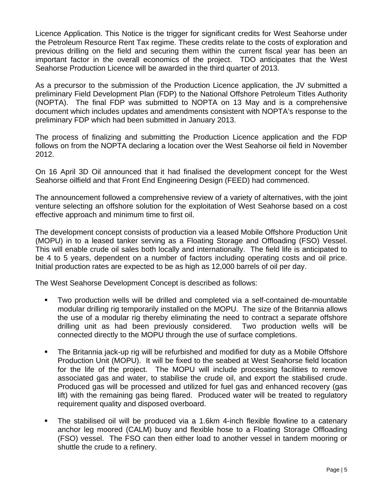Licence Application. This Notice is the trigger for significant credits for West Seahorse under the Petroleum Resource Rent Tax regime. These credits relate to the costs of exploration and previous drilling on the field and securing them within the current fiscal year has been an important factor in the overall economics of the project. TDO anticipates that the West Seahorse Production Licence will be awarded in the third quarter of 2013.

As a precursor to the submission of the Production Licence application, the JV submitted a preliminary Field Development Plan (FDP) to the National Offshore Petroleum Titles Authority (NOPTA). The final FDP was submitted to NOPTA on 13 May and is a comprehensive document which includes updates and amendments consistent with NOPTA's response to the preliminary FDP which had been submitted in January 2013.

The process of finalizing and submitting the Production Licence application and the FDP follows on from the NOPTA declaring a location over the West Seahorse oil field in November 2012.

On 16 April 3D Oil announced that it had finalised the development concept for the West Seahorse oilfield and that Front End Engineering Design (FEED) had commenced.

The announcement followed a comprehensive review of a variety of alternatives, with the joint venture selecting an offshore solution for the exploitation of West Seahorse based on a cost effective approach and minimum time to first oil.

The development concept consists of production via a leased Mobile Offshore Production Unit (MOPU) in to a leased tanker serving as a Floating Storage and Offloading (FSO) Vessel. This will enable crude oil sales both locally and internationally. The field life is anticipated to be 4 to 5 years, dependent on a number of factors including operating costs and oil price. Initial production rates are expected to be as high as 12,000 barrels of oil per day.

The West Seahorse Development Concept is described as follows:

- Two production wells will be drilled and completed via a self-contained de-mountable modular drilling rig temporarily installed on the MOPU. The size of the Britannia allows the use of a modular rig thereby eliminating the need to contract a separate offshore drilling unit as had been previously considered. Two production wells will be connected directly to the MOPU through the use of surface completions.
- The Britannia jack-up rig will be refurbished and modified for duty as a Mobile Offshore Production Unit (MOPU). It will be fixed to the seabed at West Seahorse field location for the life of the project. The MOPU will include processing facilities to remove associated gas and water, to stabilise the crude oil, and export the stabilised crude. Produced gas will be processed and utilized for fuel gas and enhanced recovery (gas lift) with the remaining gas being flared. Produced water will be treated to regulatory requirement quality and disposed overboard.
- The stabilised oil will be produced via a 1.6km 4-inch flexible flowline to a catenary anchor leg moored (CALM) buoy and flexible hose to a Floating Storage Offloading (FSO) vessel. The FSO can then either load to another vessel in tandem mooring or shuttle the crude to a refinery.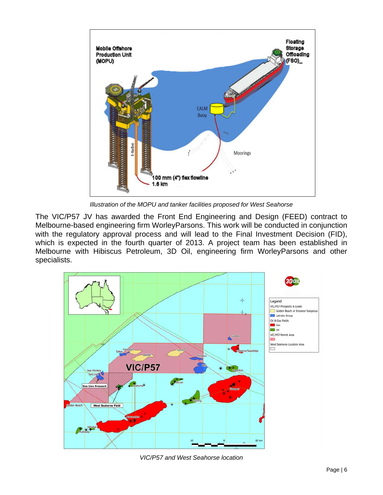

*Illustration of the MOPU and tanker facilities proposed for West Seahorse*

The VIC/P57 JV has awarded the Front End Engineering and Design (FEED) contract to Melbourne-based engineering firm WorleyParsons. This work will be conducted in conjunction with the regulatory approval process and will lead to the Final Investment Decision (FID), which is expected in the fourth quarter of 2013. A project team has been established in Melbourne with Hibiscus Petroleum, 3D Oil, engineering firm WorleyParsons and other specialists.



*VIC/P57 and West Seahorse location*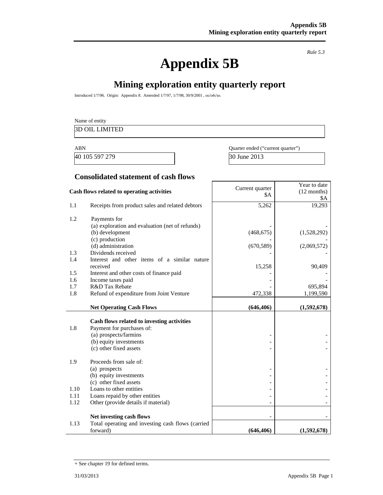# **Appendix 5B**

*Rule 5.3* 

Year to date

# **Mining exploration entity quarterly report**

Introduced 1/7/96. Origin: Appendix 8. Amended 1/7/97, 1/7/98, 30/9/2001 , 01/06/10.

# Name of entity 3D OIL LIMITED

40 105 597 279 30 June 2013

ABN Quarter ended ("current quarter")

#### **Consolidated statement of cash flows**

|                      | Cash flows related to operating activities                                                                                                           | Current quarter<br><b>\$A</b> | I eal to date<br>(12 months) |
|----------------------|------------------------------------------------------------------------------------------------------------------------------------------------------|-------------------------------|------------------------------|
| 1.1                  | Receipts from product sales and related debtors                                                                                                      | 5,262                         | \$A<br>19,293                |
| 1.2                  | Payments for<br>(a) exploration and evaluation (net of refunds)<br>(b) development                                                                   | (468, 675)                    | (1,528,292)                  |
|                      | (c) production<br>(d) administration                                                                                                                 | (670, 589)                    | (2,069,572)                  |
| 1.3<br>1.4           | Dividends received<br>Interest and other items of a similar nature<br>received                                                                       |                               |                              |
| 1.5<br>1.6           | Interest and other costs of finance paid<br>Income taxes paid                                                                                        | 15,258                        | 90,409                       |
| 1.7<br>1.8           | R&D Tax Rebate<br>Refund of expenditure from Joint Venture                                                                                           | 472,338                       | 695,894<br>1,199,590         |
|                      | <b>Net Operating Cash Flows</b>                                                                                                                      | (646, 406)                    | (1,592,678)                  |
| 1.8                  | Cash flows related to investing activities<br>Payment for purchases of:<br>(a) prospects/farmins<br>(b) equity investments<br>(c) other fixed assets |                               |                              |
| 1.9                  | Proceeds from sale of:<br>(a) prospects<br>(b) equity investments<br>(c) other fixed assets                                                          |                               |                              |
| 1.10<br>1.11<br>1.12 | Loans to other entities<br>Loans repaid by other entities<br>Other (provide details if material)                                                     |                               |                              |
| 1.13                 | Net investing cash flows<br>Total operating and investing cash flows (carried<br>forward)                                                            | (646, 406)                    | (1,592,678)                  |

<sup>+</sup> See chapter 19 for defined terms.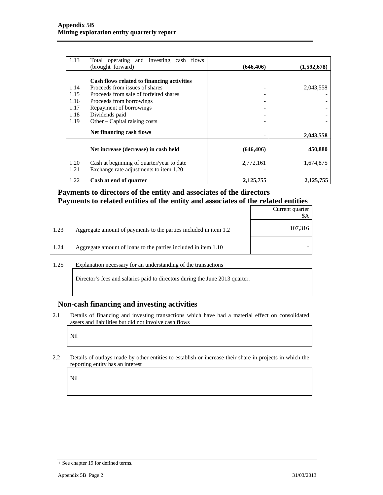| 1.13         | Total operating and investing cash flows<br>(brought forward)                       | (646, 406)                   | (1,592,678) |
|--------------|-------------------------------------------------------------------------------------|------------------------------|-------------|
|              |                                                                                     |                              |             |
|              | Cash flows related to financing activities                                          |                              |             |
| 1.14         | Proceeds from issues of shares                                                      | -                            | 2,043,558   |
| 1.15         | Proceeds from sale of forfeited shares                                              |                              |             |
| 1.16         | Proceeds from borrowings                                                            | $\qquad \qquad \blacksquare$ |             |
| 1.17         | Repayment of borrowings                                                             |                              |             |
| 1.18         | Dividends paid                                                                      | -                            |             |
| 1.19         | Other – Capital raising costs                                                       | -                            |             |
|              | Net financing cash flows                                                            |                              | 2,043,558   |
|              | Net increase (decrease) in cash held                                                | (646, 406)                   | 450,880     |
| 1.20<br>1.21 | Cash at beginning of quarter/year to date<br>Exchange rate adjustments to item 1.20 | 2,772,161                    | 1,674,875   |
| 1.22         | Cash at end of quarter                                                              | 2,125,755                    | 2,125,755   |

### **Payments to directors of the entity and associates of the directors Payments to related entities of the entity and associates of the related entities**

|      |                                                                  | Current quarter<br>\$A |
|------|------------------------------------------------------------------|------------------------|
| 1.23 | Aggregate amount of payments to the parties included in item 1.2 | 107,316                |
| 1.24 | Aggregate amount of loans to the parties included in item 1.10   |                        |
|      |                                                                  |                        |

1.25 Explanation necessary for an understanding of the transactions

Director's fees and salaries paid to directors during the June 2013 quarter.

#### **Non-cash financing and investing activities**

2.1 Details of financing and investing transactions which have had a material effect on consolidated assets and liabilities but did not involve cash flows

Nil

2.2 Details of outlays made by other entities to establish or increase their share in projects in which the reporting entity has an interest

Nil

<sup>+</sup> See chapter 19 for defined terms.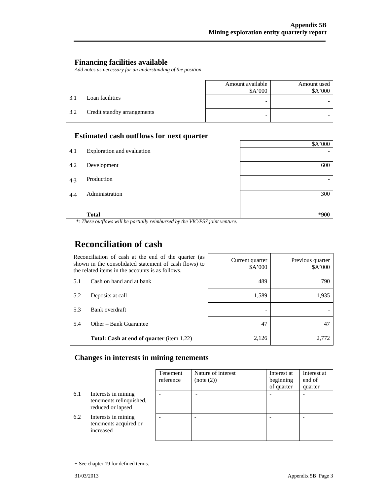#### **Financing facilities available**

*Add notes as necessary for an understanding of the position.* 

|     |                             | Amount available<br>\$A'000 | Amount used<br>\$A'000 |
|-----|-----------------------------|-----------------------------|------------------------|
| 3.1 | Loan facilities             |                             |                        |
| 3.2 | Credit standby arrangements | -                           |                        |

### **Estimated cash outflows for next quarter**

|     | <b>Total</b>               | *900    |
|-----|----------------------------|---------|
| 4.4 | Administration             | 300     |
| 4.3 | Production                 |         |
| 4.2 | Development                | 600     |
| 4.1 | Exploration and evaluation |         |
|     |                            | \$A'000 |

 *\*: These outflows will be partially reimbursed by the VIC/P57 joint venture.* 

# **Reconciliation of cash**

| Reconciliation of cash at the end of the quarter (as<br>shown in the consolidated statement of cash flows) to<br>the related items in the accounts is as follows. |                                                  | Current quarter<br>A'000 | Previous quarter<br>\$A'000 |
|-------------------------------------------------------------------------------------------------------------------------------------------------------------------|--------------------------------------------------|--------------------------|-----------------------------|
| 5.1                                                                                                                                                               | Cash on hand and at bank                         | 489                      | 790                         |
| 5.2                                                                                                                                                               | Deposits at call                                 | 1,589                    | 1,935                       |
| 5.3                                                                                                                                                               | Bank overdraft                                   |                          |                             |
| 5.4                                                                                                                                                               | Other – Bank Guarantee                           | 47                       | 47                          |
|                                                                                                                                                                   | <b>Total: Cash at end of quarter</b> (item 1.22) | 2,126                    | 2.772                       |

#### **Changes in interests in mining tenements**

|     |                                                                     | Tenement<br>reference | Nature of interest<br>(note (2)) | Interest at<br>beginning<br>of quarter | Interest at<br>end of<br>quarter |
|-----|---------------------------------------------------------------------|-----------------------|----------------------------------|----------------------------------------|----------------------------------|
| 6.1 | Interests in mining<br>tenements relinquished,<br>reduced or lapsed |                       |                                  |                                        |                                  |
| 6.2 | Interests in mining<br>tenements acquired or<br>increased           |                       |                                  |                                        |                                  |

<sup>+</sup> See chapter 19 for defined terms.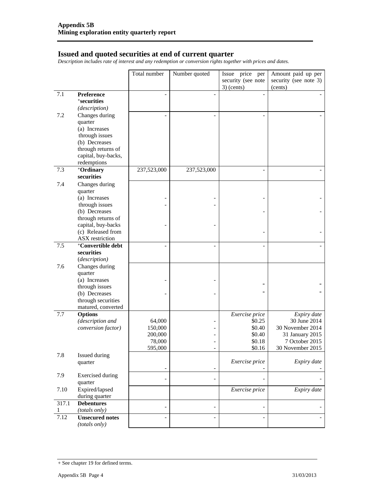#### **Issued and quoted securities at end of current quarter**

*Description includes rate of interest and any redemption or conversion rights together with prices and dates.* 

|       |                                          | Total number | Number quoted            | Issue price per    | Amount paid up per    |
|-------|------------------------------------------|--------------|--------------------------|--------------------|-----------------------|
|       |                                          |              |                          | security (see note | security (see note 3) |
|       |                                          |              |                          | $3)$ (cents)       | (cents)               |
| 7.1   | Preference                               |              |                          |                    |                       |
|       | <i><b>*securities</b></i>                |              |                          |                    |                       |
|       | (description)                            |              |                          |                    |                       |
| 7.2   | Changes during                           |              |                          |                    |                       |
|       | quarter                                  |              |                          |                    |                       |
|       | (a) Increases                            |              |                          |                    |                       |
|       | through issues                           |              |                          |                    |                       |
|       | (b) Decreases                            |              |                          |                    |                       |
|       | through returns of                       |              |                          |                    |                       |
|       | capital, buy-backs,                      |              |                          |                    |                       |
|       | redemptions                              |              |                          |                    |                       |
| 7.3   | +Ordinary                                | 237,523,000  | 237,523,000              |                    |                       |
|       | securities                               |              |                          |                    |                       |
| 7.4   | Changes during                           |              |                          |                    |                       |
|       | quarter                                  |              |                          |                    |                       |
|       | (a) Increases                            |              |                          |                    |                       |
|       | through issues                           |              |                          |                    |                       |
|       | (b) Decreases                            |              |                          |                    |                       |
|       | through returns of<br>capital, buy-backs |              |                          |                    |                       |
|       | (c) Released from                        |              |                          |                    |                       |
|       | ASX restriction                          |              |                          |                    |                       |
| 7.5   | <sup>+</sup> Convertible debt            |              |                          |                    |                       |
|       | securities                               |              |                          |                    |                       |
|       | (description)                            |              |                          |                    |                       |
| 7.6   | Changes during                           |              |                          |                    |                       |
|       | quarter                                  |              |                          |                    |                       |
|       | (a) Increases                            |              |                          |                    |                       |
|       | through issues                           |              |                          |                    |                       |
|       | (b) Decreases                            |              |                          |                    |                       |
|       | through securities                       |              |                          |                    |                       |
|       | matured, converted                       |              |                          |                    |                       |
| 7.7   | <b>Options</b>                           |              |                          | Exercise price     | Expiry date           |
|       | (description and                         | 64,000       |                          | \$0.25             | 30 June 2014          |
|       | conversion factor)                       | 150,000      |                          | \$0.40             | 30 November 2014      |
|       |                                          | 200,000      |                          | \$0.40             | 31 January 2015       |
|       |                                          | 78,000       |                          | \$0.18             | 7 October 2015        |
|       |                                          | 595.000      |                          | \$0.16             | 30 November 2015      |
| 7.8   | Issued during                            |              |                          | Exercise price     | Expiry date           |
|       | quarter                                  |              | $\overline{\phantom{0}}$ |                    |                       |
| 7.9   | <b>Exercised</b> during                  |              |                          |                    |                       |
|       | quarter                                  |              | $\overline{\phantom{a}}$ |                    |                       |
| 7.10  | Expired/lapsed                           |              |                          | Exercise price     | Expiry date           |
|       | during quarter                           |              |                          |                    |                       |
| 317.1 | <b>Debentures</b>                        |              |                          |                    |                       |
|       | (totals only)                            |              | $\overline{a}$           |                    |                       |
| 7.12  | <b>Unsecured notes</b>                   |              |                          |                    |                       |
|       | (totals only)                            |              |                          |                    |                       |

<sup>+</sup> See chapter 19 for defined terms.